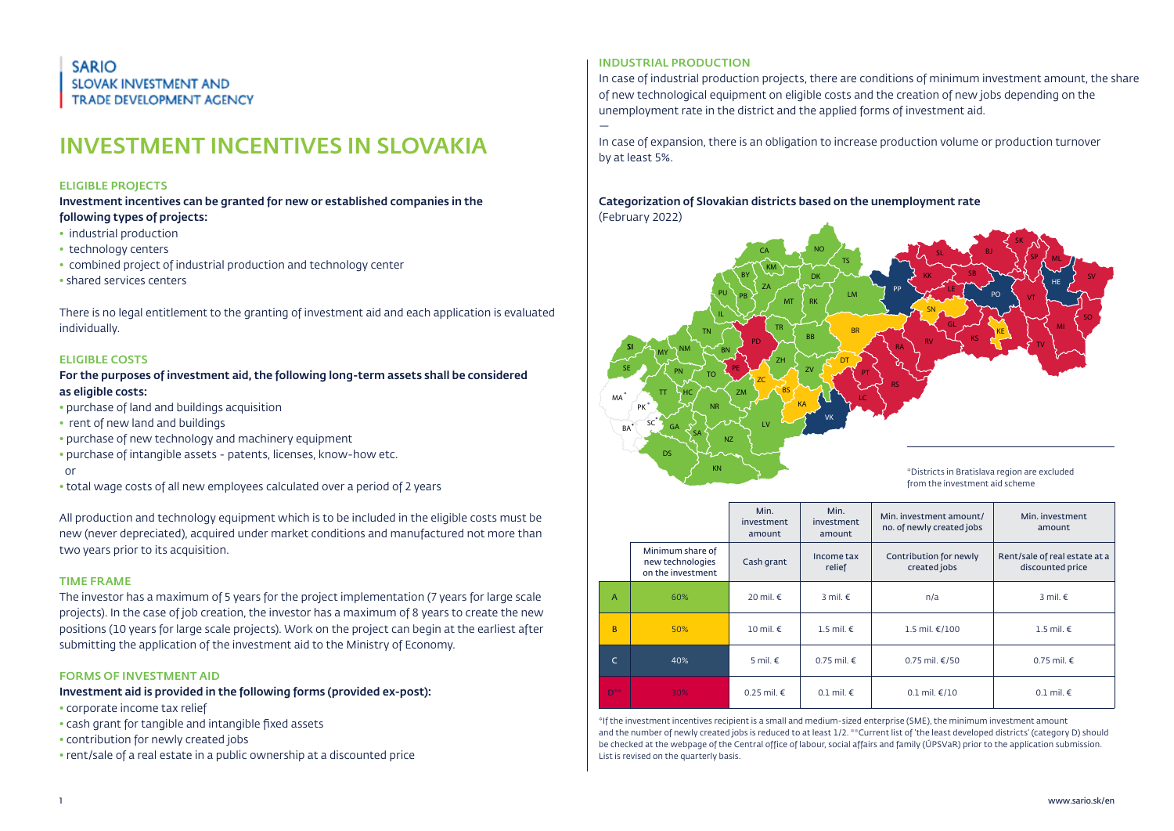## SARIO SLOVAK INVESTMENT AND TRADE DEVELOPMENT AGENCY

# INVESTMENT INCENTIVES IN SLOVAKIA

#### ELIGIBLE PROJECTS

Investment incentives can be granted for new or established companies in the following types of projects:

- industrial production
- technology centers
- combined project of industrial production and technology center
- shared services centers

There is no legal entitlement to the granting of investment aid and each application is evaluated individually.

#### ELIGIBLE COSTS

### For the purposes of investment aid, the following long-term assets shall be considered as eligible costs:

- purchase of land and buildings acquisition
- rent of new land and buildings
- purchase of new technology and machinery equipment
- purchase of intangible assets patents, licenses, know-how etc.
- or
- total wage costs of all new employees calculated over a period of 2 years

All production and technology equipment which is to be included in the eligible costs must be new (never depreciated), acquired under market conditions and manufactured not more than two years prior to its acquisition.

#### TIME FRAME

The investor has a maximum of 5 years for the project implementation (7 years for large scale projects). In the case of job creation, the investor has a maximum of 8 years to create the new positions (10 years for large scale projects). Work on the project can begin at the earliest after submitting the application of the investment aid to the Ministry of Economy.

#### FORMS OF INVESTMENT AID

#### Investment aid is provided in the following forms (provided ex-post):

- corporate income tax relief
- cash grant for tangible and intangible fixed assets
- contribution for newly created jobs
- rent/sale of a real estate in a public ownership at a discounted price

#### INDUSTRIAL PRODUCTION

 $\overline{\phantom{a}}$ 

In case of industrial production projects, there are conditions of minimum investment amount, the share of new technological equipment on eligible costs and the creation of new jobs depending on the unemployment rate in the district and the applied forms of investment aid.

In case of expansion, there is an obligation to increase production volume or production turnover by at least 5%.

Categorization of Slovakian districts based on the unemployment rate (February 2022)



from the investment aid scheme

|                |                                                           | Min.<br>investment<br>amount | Min.<br>investment<br>amount | Min. investment amount/<br>no. of newly created jobs | Min. investment<br>amount                         |
|----------------|-----------------------------------------------------------|------------------------------|------------------------------|------------------------------------------------------|---------------------------------------------------|
|                | Minimum share of<br>new technologies<br>on the investment | Cash grant                   | Income tax<br>relief         | Contribution for newly<br>created jobs               | Rent/sale of real estate at a<br>discounted price |
| $\overline{A}$ | 60%                                                       | 20 mil. €                    | 3 mil. $\epsilon$            | n/a                                                  | 3 mil. $\epsilon$                                 |
| B              | 50%                                                       | 10 mil. $\epsilon$           | 1.5 mil. $\epsilon$          | 1.5 mil. €/100                                       | 1.5 mil. $\in$                                    |
| $\mathsf{C}$   | 40%                                                       | 5 mil. $\epsilon$            | $0.75$ mil. $\epsilon$       | $0.75$ mil. €/50                                     | $0.75$ mil. $\epsilon$                            |
| $D^{\# \#}$    | 30%                                                       | $0.25$ mil. $\epsilon$       | $0.1$ mil. $\epsilon$        | $0.1$ mil. €/10                                      | $0.1$ mil. $\epsilon$                             |

\*If the investment incentives recipient is a small and medium-sized enterprise (SME), the minimum investment amount and the number of newly created jobs is reduced to at least 1/2. \*\*Current list of 'the least developed districts' (category D) should be checked at the webpage of the Central office of labour, social affairs and family (ÚPSVaR) prior to the application submission. List is revised on the quarterly basis.